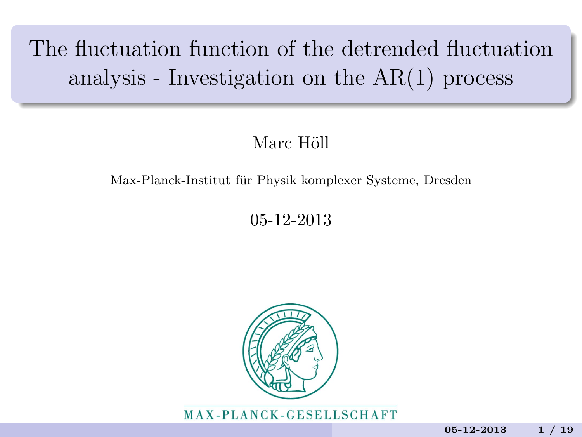# The fluctuation function of the detrended fluctuation analysis - Investigation on the AR(1) process

#### Marc Höll

#### Max-Planck-Institut für Physik komplexer Systeme, Dresden

05-12-2013



MAX-PLANCK-GESELLSCHAFT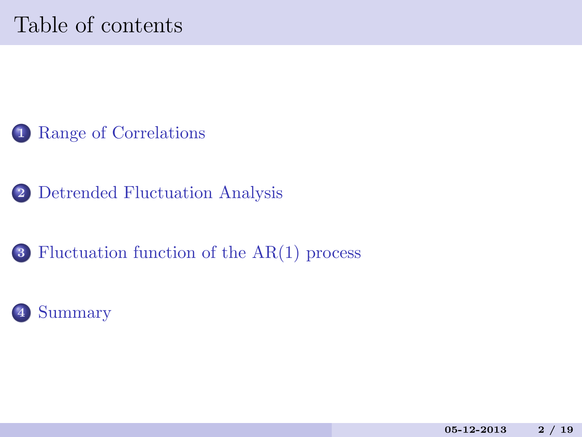# Table of contents



[Detrended Fluctuation Analysis](#page-4-0)

[Fluctuation function of the AR\(1\) process](#page-14-0)

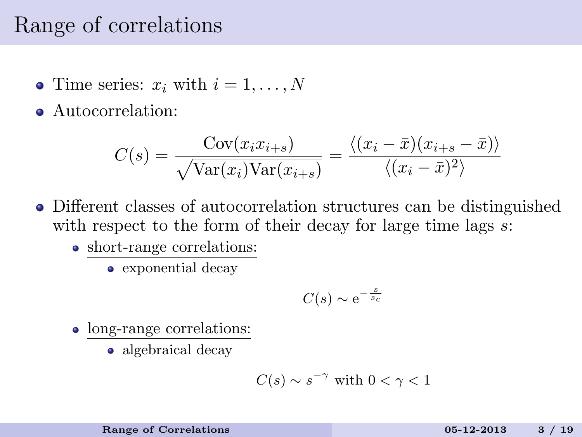### Range of correlations

- Time series:  $x_i$  with  $i = 1, \ldots, N$
- Autocorrelation:

$$
C(s) = \frac{\text{Cov}(x_i x_{i+s})}{\sqrt{\text{Var}(x_i)\text{Var}(x_{i+s})}} = \frac{\langle (x_i - \bar{x})(x_{i+s} - \bar{x}) \rangle}{\langle (x_i - \bar{x})^2 \rangle}
$$

- Different classes of autocorrelation structures can be distinguished with respect to the form of their decay for large time lags  $s$ :
	- short-range correlations:
		- exponential decay

<span id="page-2-0"></span>
$$
C(s) \sim e^{-\frac{s}{s_c}}
$$

- long-range correlations:
	- algebraical decay

$$
C(s) \sim s^{-\gamma} \text{ with } 0 < \gamma < 1
$$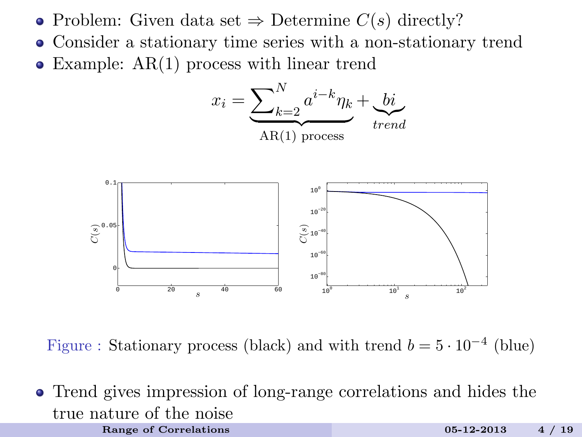- Problem: Given data set  $\Rightarrow$  Determine  $C(s)$  directly?
- Consider a stationary time series with a non-stationary trend
- Example: AR(1) process with linear trend



Figure : Stationary process (black) and with trend  $b = 5 \cdot 10^{-4}$  (blue)

Trend gives impression of long-range correlations and hides the true nature of the noise [Range of Correlations](#page-2-0) 2008 2014 2013 2013 2014 19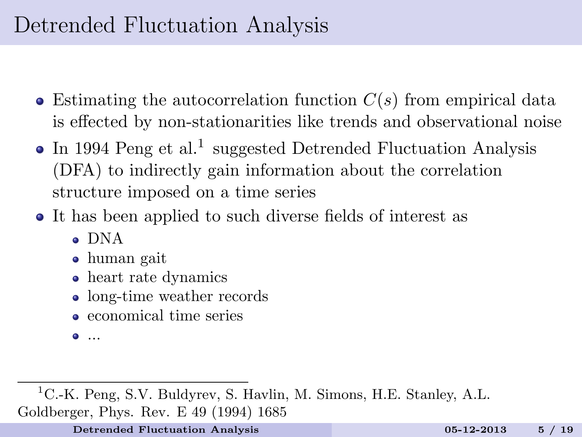# Detrended Fluctuation Analysis

- $\bullet$  Estimating the autocorrelation function  $C(s)$  from empirical data is effected by non-stationarities like trends and observational noise
- In 1994 Peng et al.<sup>1</sup> suggested Detrended Fluctuation Analysis (DFA) to indirectly gain information about the correlation structure imposed on a time series
- It has been applied to such diverse fields of interest as
	- DNA
	- human gait
	- heart rate dynamics
	- long-time weather records
	- economical time series
	- ...

<sup>1</sup>C.-K. Peng, S.V. Buldyrev, S. Havlin, M. Simons, H.E. Stanley, A.L. Goldberger, Phys. Rev. E 49 (1994) 1685

<span id="page-4-0"></span>[Detrended Fluctuation Analysis](#page-4-0) 05-12-2013 5 / 19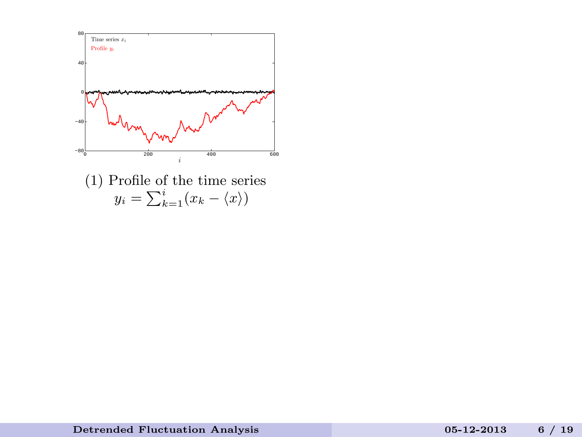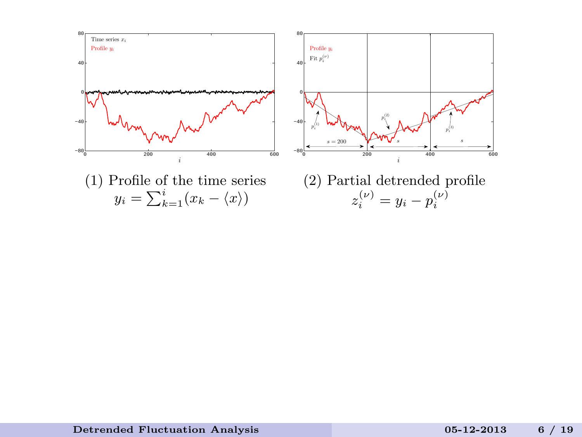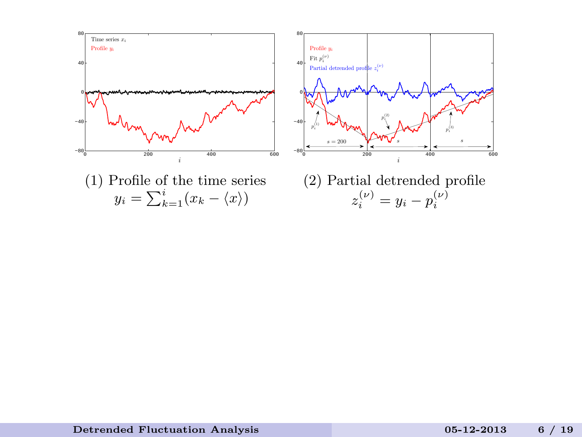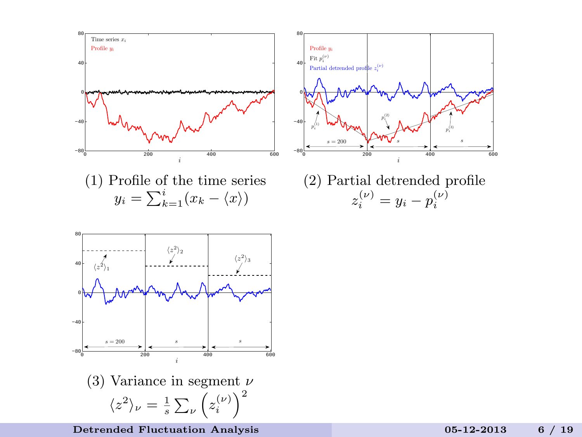

[Detrended Fluctuation Analysis](#page-4-0) 05-12-2013 6 / 19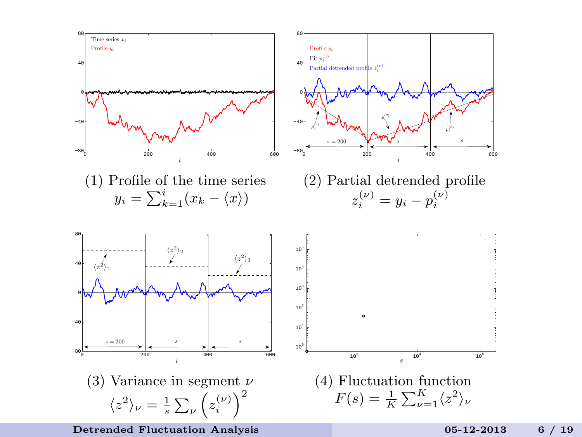

[Detrended Fluctuation Analysis](#page-4-0) 05-12-2013 6 / 19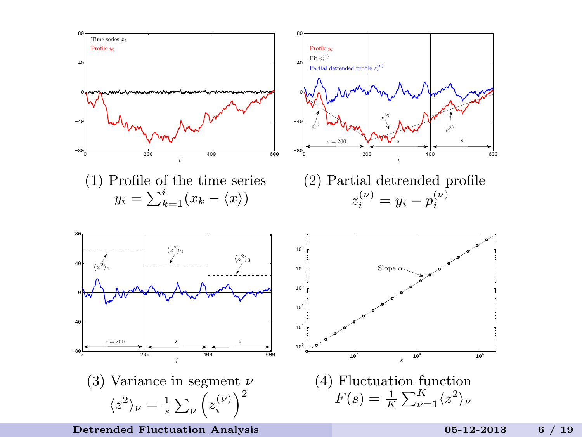

[Detrended Fluctuation Analysis](#page-4-0) 05-12-2013 6 / 19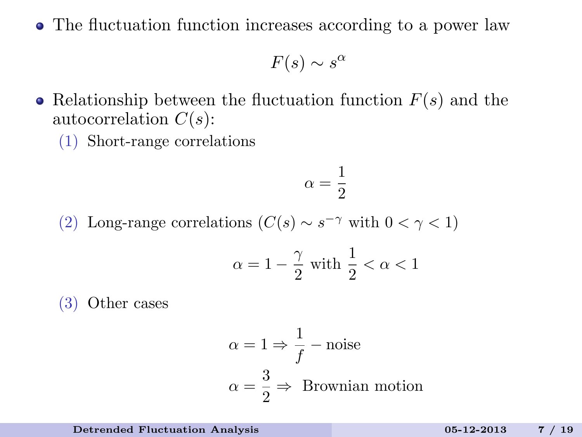The fluctuation function increases according to a power law

 $F(s) \sim s^{\alpha}$ 

- Relationship between the fluctuation function  $F(s)$  and the autocorrelation  $C(s)$ :
	- (1) Short-range correlations

$$
\alpha = \frac{1}{2}
$$

(2) Long-range correlations  $(C(s) \sim s^{-\gamma}$  with  $0 < \gamma < 1$ )

$$
\alpha = 1 - \frac{\gamma}{2} \text{ with } \frac{1}{2} < \alpha < 1
$$

(3) Other cases

$$
\alpha = 1 \Rightarrow \frac{1}{f} - \text{noise}
$$

$$
\alpha = \frac{3}{2} \Rightarrow \text{Brownian motion}
$$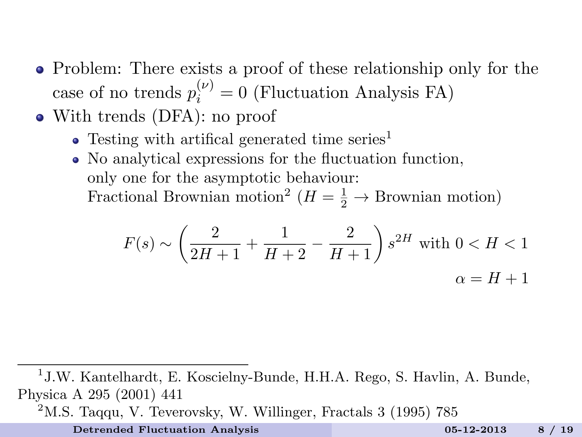- Problem: There exists a proof of these relationship only for the case of no trends  $p_i^{(\nu)} = 0$  (Fluctuation Analysis FA)
- With trends (DFA): no proof
	- $\bullet$  Testing with artifical generated time series<sup>1</sup>
	- No analytical expressions for the fluctuation function, only one for the asymptotic behaviour: Fractional Brownian motion<sup>2</sup> ( $H = \frac{1}{2} \rightarrow$  Brownian motion)

$$
F(s) \sim \left(\frac{2}{2H+1} + \frac{1}{H+2} - \frac{2}{H+1}\right) s^{2H} \text{ with } 0 < H < 1
$$
\n
$$
\alpha = H+1
$$

<sup>1</sup> J.W. Kantelhardt, E. Koscielny-Bunde, H.H.A. Rego, S. Havlin, A. Bunde, Physica A 295 (2001) 441

 $2<sup>2</sup>$ M.S. Taqqu, V. Teverovsky, W. Willinger, Fractals 3 (1995) 785

[Detrended Fluctuation Analysis](#page-4-0) 05-12-2013 8 / 19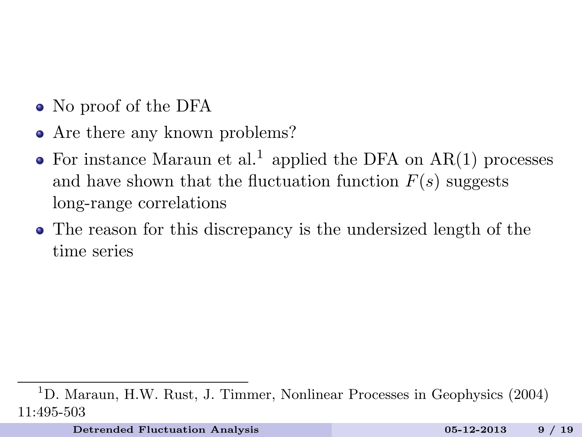- No proof of the DFA
- Are there any known problems?
- For instance Maraun et al.<sup>1</sup> applied the DFA on  $AR(1)$  processes and have shown that the fluctuation function  $F(s)$  suggests long-range correlations
- The reason for this discrepancy is the undersized length of the time series

<sup>1</sup>D. Maraun, H.W. Rust, J. Timmer, Nonlinear Processes in Geophysics (2004) 11:495-503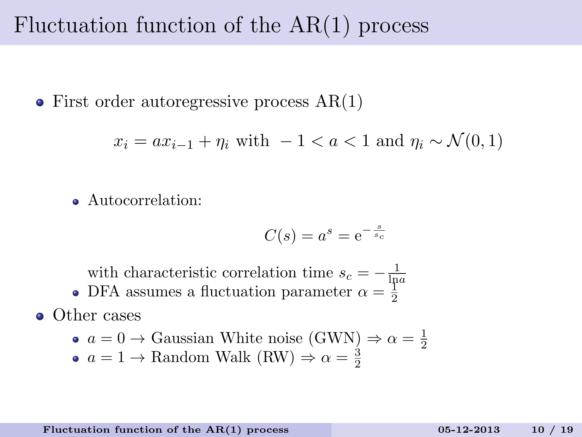### Fluctuation function of the AR(1) process

• First order autoregressive process  $AR(1)$ 

$$
x_i = ax_{i-1} + \eta_i \text{ with } -1 < a < 1 \text{ and } \eta_i \sim \mathcal{N}(0, 1)
$$

Autocorrelation:

<span id="page-14-0"></span>
$$
C(s) = a^s = e^{-\frac{s}{s_c}}
$$

with characteristic correlation time  $s_c = -\frac{1}{\ln a}$ 

DFA assumes a fluctuation parameter  $\alpha = \frac{1}{2}$ 

**o** Other cases

\n- $$
a = 0 \rightarrow
$$
 Gaussian White noise (GWN)  $\Rightarrow \alpha = \frac{1}{2}$
\n- $a = 1 \rightarrow$  Random Walk (RW)  $\Rightarrow \alpha = \frac{3}{2}$
\n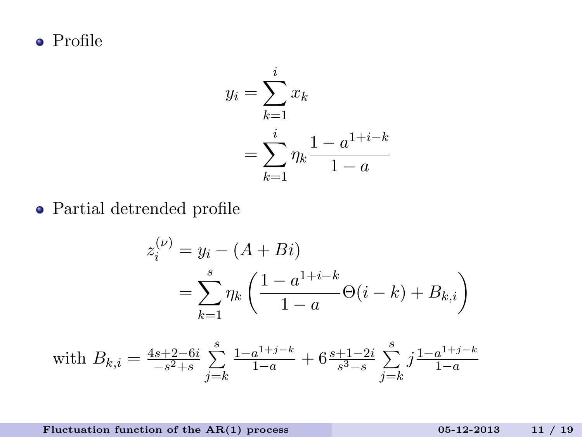Profile

$$
y_i = \sum_{k=1}^i x_k
$$
  
= 
$$
\sum_{k=1}^i \eta_k \frac{1 - a^{1+i-k}}{1 - a}
$$

Partial detrended profile

$$
z_i^{(\nu)} = y_i - (A + Bi)
$$
  
= 
$$
\sum_{k=1}^s \eta_k \left( \frac{1 - a^{1+i-k}}{1 - a} \Theta(i - k) + B_{k,i} \right)
$$

with 
$$
B_{k,i} = \frac{4s+2-6i}{-s^2+s} \sum_{j=k}^{s} \frac{1-a^{1+j-k}}{1-a} + 6 \frac{s+1-2i}{s^3-s} \sum_{j=k}^{s} j \frac{1-a^{1+j-k}}{1-a}
$$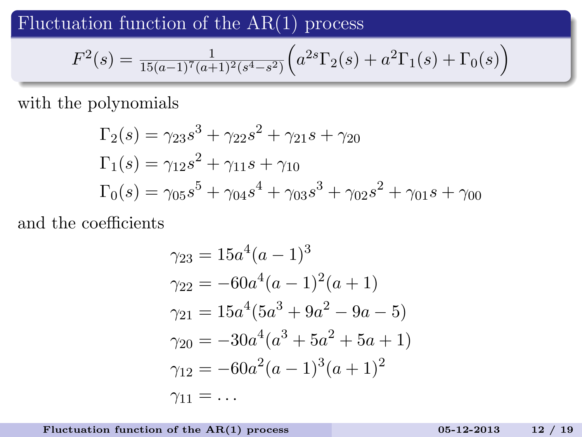Fluctuation function of the  $AR(1)$  process

$$
F^{2}(s) = \frac{1}{15(a-1)^{7}(a+1)^{2}(s^{4}-s^{2})} \left( a^{2s} \Gamma_{2}(s) + a^{2} \Gamma_{1}(s) + \Gamma_{0}(s) \right)
$$

with the polynomials

$$
\Gamma_2(s) = \gamma_{23} s^3 + \gamma_{22} s^2 + \gamma_{21} s + \gamma_{20}
$$
  
\n
$$
\Gamma_1(s) = \gamma_{12} s^2 + \gamma_{11} s + \gamma_{10}
$$
  
\n
$$
\Gamma_0(s) = \gamma_{05} s^5 + \gamma_{04} s^4 + \gamma_{03} s^3 + \gamma_{02} s^2 + \gamma_{01} s + \gamma_{00}
$$

and the coefficients

$$
\gamma_{23} = 15a^4(a-1)^3
$$
  
\n
$$
\gamma_{22} = -60a^4(a-1)^2(a+1)
$$
  
\n
$$
\gamma_{21} = 15a^4(5a^3 + 9a^2 - 9a - 5)
$$
  
\n
$$
\gamma_{20} = -30a^4(a^3 + 5a^2 + 5a + 1)
$$
  
\n
$$
\gamma_{12} = -60a^2(a-1)^3(a+1)^2
$$
  
\n
$$
\gamma_{11} = \dots
$$

Fluctuation function of the  $AR(1)$  process 05-12-2013 12 / 19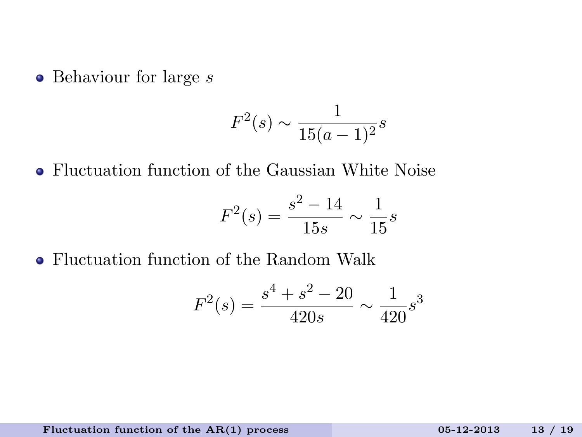$\bullet$  Behaviour for large  $s$ 

$$
F^2(s) \sim \frac{1}{15(a-1)^2} s
$$

Fluctuation function of the Gaussian White Noise

$$
F^2(s) = \frac{s^2 - 14}{15s} \sim \frac{1}{15}s
$$

Fluctuation function of the Random Walk

$$
F^{2}(s) = \frac{s^{4} + s^{2} - 20}{420s} \sim \frac{1}{420} s^{3}
$$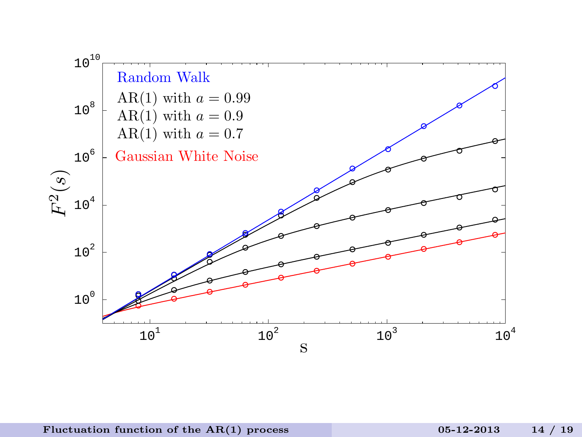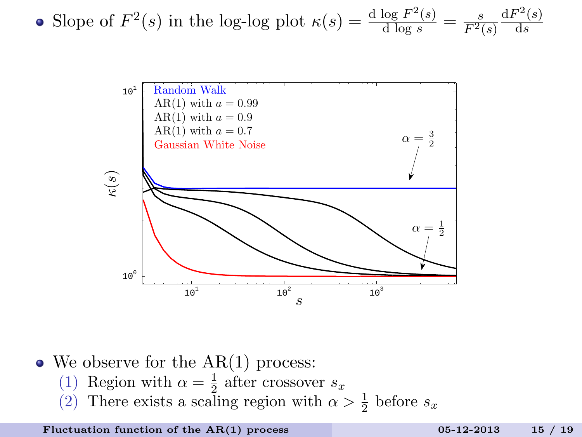• Slope of 
$$
F^2(s)
$$
 in the log-log plot  $\kappa(s) = \frac{d \log F^2(s)}{d \log s} = \frac{s}{F^2(s)} \frac{dF^2(s)}{ds}$ 



 $\bullet$  We observe for the AR(1) process:

- (1) Region with  $\alpha = \frac{1}{2}$  after crossover  $s_x$
- (2) There exists a scaling region with  $\alpha > \frac{1}{2}$  before  $s_x$

Fluctuation function of the  $AR(1)$  process 05-12-2013 15 / 19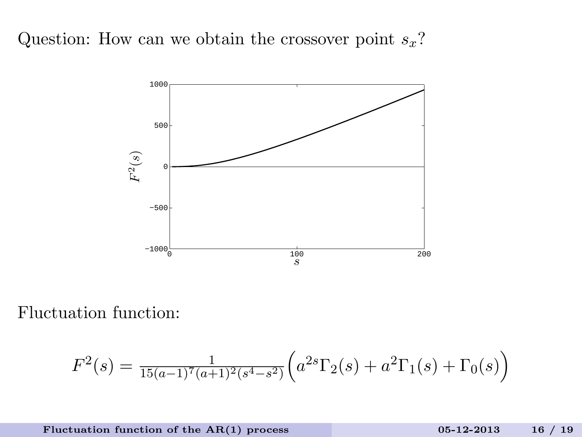

Fluctuation function:

$$
F^{2}(s) = \frac{1}{15(a-1)^{7}(a+1)^{2}(s^{4}-s^{2})} \left( a^{2s} \Gamma_{2}(s) + a^{2} \Gamma_{1}(s) + \Gamma_{0}(s) \right)
$$

Fluctuation function of the  $AR(1)$  process

$$
05-12-2013 \qquad 16 / 19
$$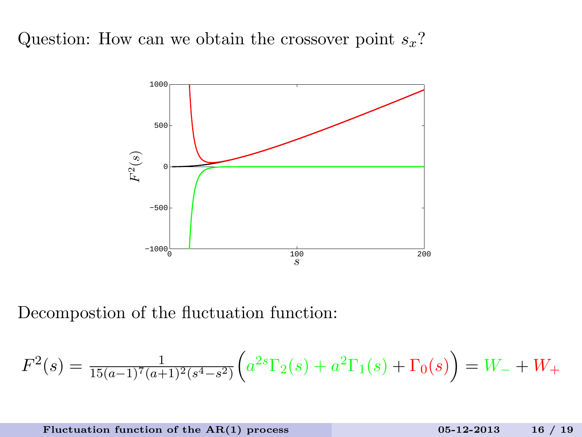

Decompostion of the fluctuation function:

$$
F^{2}(s) = \frac{1}{15(a-1)^{7}(a+1)^{2}(s^{4}-s^{2})} \left( a^{2s} \Gamma_{2}(s) + a^{2} \Gamma_{1}(s) + \Gamma_{0}(s) \right) = W_{-} + W_{+}
$$

Fluctuation function of the  $AR(1)$  process 05-12-2013 16 / 19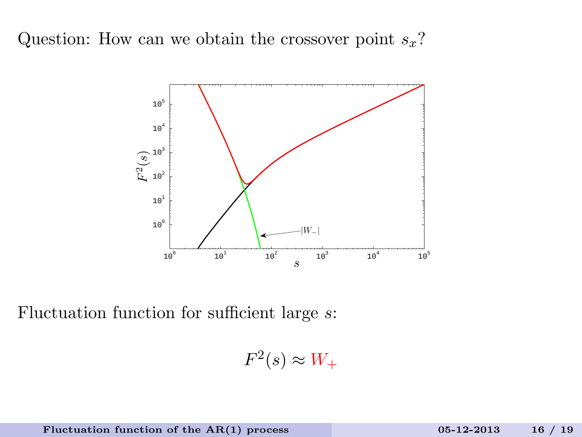

Fluctuation function for sufficient large s:

 $F^2(s) \approx W_+$ 

Fluctuation function of the  $AR(1)$  process 05-12-2013 16 / 19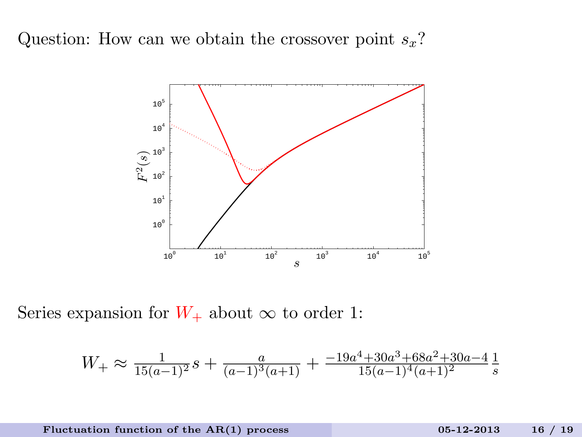

Series expansion for  $W_+$  about  $\infty$  to order 1:

$$
W_{+} \approx \frac{1}{15(a-1)^2}s + \frac{a}{(a-1)^3(a+1)} + \frac{-19a^4 + 30a^3 + 68a^2 + 30a - 4}{15(a-1)^4(a+1)^2} \frac{1}{s}
$$

Fluctuation function of the  $AR(1)$  process 05-12-2013 16 / 19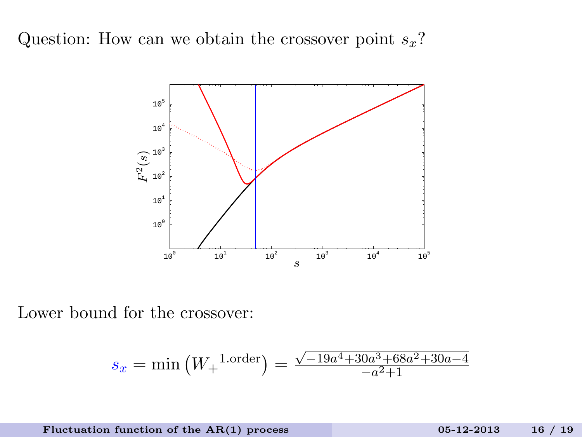

Lower bound for the crossover:

$$
s_x = \min(W_+^{\text{1.order}}) = \frac{\sqrt{-19a^4 + 30a^3 + 68a^2 + 30a - 4}}{-a^2 + 1}
$$

Fluctuation function of the  $AR(1)$  process

$$
05-12-2013 \qquad 16 / 19
$$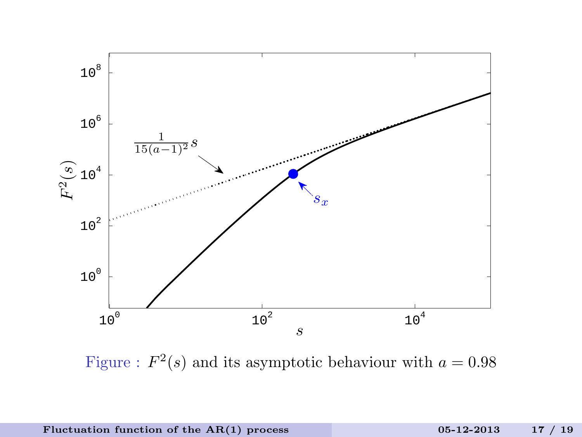

Figure :  $F^2(s)$  and its asymptotic behaviour with  $a = 0.98$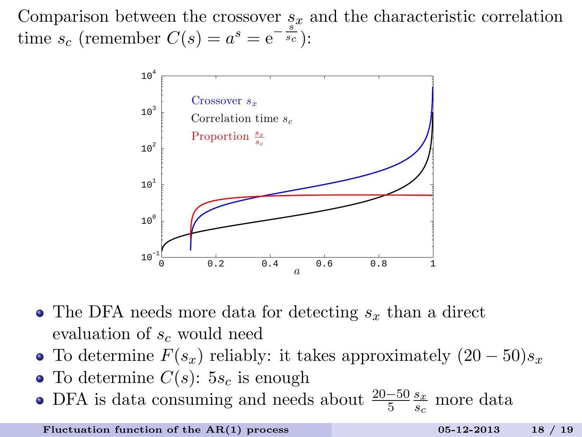Comparison between the crossover  $s_x$  and the characteristic correlation time  $s_c$  (remember  $C(s) = a^s = e^{-\frac{s^{\omega}}{s_c}}$ ):



- The DFA needs more data for detecting  $s_x$  than a direct evaluation of  $s_c$  would need
- To determine  $F(s_x)$  reliably: it takes approximately  $(20-50)s_x$
- To determine  $C(s)$ :  $5s_c$  is enough
- DFA is data consuming and needs about  $\frac{20-50}{5} \frac{s_x}{s_c}$  $\frac{s_x}{s_c}$  more data